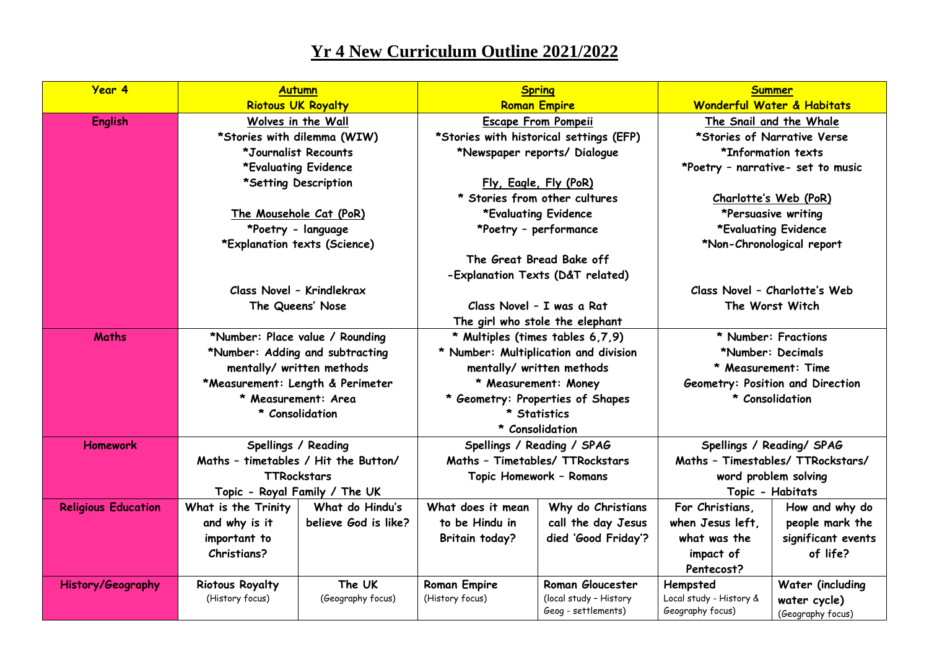## **Yr 4 New Curriculum Outline 2021/2022**

| Year 4                     | <b>Autumn</b>                                                                                 |                                  | <b>Spring</b><br><b>Roman Empire</b>                                                                                         |                         | <b>Summer</b>                       |                                  |
|----------------------------|-----------------------------------------------------------------------------------------------|----------------------------------|------------------------------------------------------------------------------------------------------------------------------|-------------------------|-------------------------------------|----------------------------------|
|                            | <b>Riotous UK Royalty</b>                                                                     |                                  |                                                                                                                              |                         | Wonderful Water & Habitats          |                                  |
| <b>English</b>             | Wolves in the Wall                                                                            |                                  | <b>Escape From Pompeii</b>                                                                                                   |                         | The Snail and the Whale             |                                  |
|                            | *Stories with dilemma (WIW)                                                                   |                                  | *Stories with historical settings (EFP)                                                                                      |                         | *Stories of Narrative Verse         |                                  |
|                            | *Journalist Recounts                                                                          |                                  | *Newspaper reports/ Dialogue                                                                                                 |                         | *Information texts                  |                                  |
|                            | *Evaluating Evidence<br>*Setting Description<br>The Mousehole Cat (PoR)<br>*Poetry - language |                                  | Fly, Eagle, Fly (PoR)                                                                                                        |                         | *Poetry - narrative- set to music   |                                  |
|                            |                                                                                               |                                  |                                                                                                                              |                         |                                     |                                  |
|                            |                                                                                               |                                  | * Stories from other cultures                                                                                                |                         | Charlotte's Web (PoR)               |                                  |
|                            |                                                                                               |                                  | *Evaluating Evidence                                                                                                         |                         | *Persuasive writing                 |                                  |
|                            |                                                                                               |                                  | *Poetry - performance                                                                                                        |                         | *Evaluating Evidence                |                                  |
|                            | *Explanation texts (Science)                                                                  |                                  | The Great Bread Bake off<br>-Explanation Texts (D&T related)<br>Class Novel - I was a Rat<br>The girl who stole the elephant |                         | *Non-Chronological report           |                                  |
|                            |                                                                                               |                                  |                                                                                                                              |                         |                                     |                                  |
|                            |                                                                                               |                                  |                                                                                                                              |                         |                                     |                                  |
|                            | Class Novel - Krindlekrax                                                                     |                                  |                                                                                                                              |                         | Class Novel - Charlotte's Web       |                                  |
|                            |                                                                                               | The Queens' Nose                 |                                                                                                                              |                         | The Worst Witch                     |                                  |
|                            |                                                                                               |                                  |                                                                                                                              |                         |                                     |                                  |
| <b>Maths</b>               | *Number: Place value / Rounding                                                               |                                  | * Multiples (times tables 6,7,9)<br>* Number: Multiplication and division                                                    |                         | * Number: Fractions                 |                                  |
|                            | *Number: Adding and subtracting                                                               |                                  |                                                                                                                              |                         | *Number: Decimals                   |                                  |
|                            | mentally/ written methods                                                                     |                                  | mentally/ written methods                                                                                                    |                         | * Measurement: Time                 |                                  |
|                            |                                                                                               | *Measurement: Length & Perimeter | * Measurement: Money<br>* Geometry: Properties of Shapes<br>* Statistics<br>* Consolidation                                  |                         | Geometry: Position and Direction    |                                  |
|                            |                                                                                               | * Measurement: Area              |                                                                                                                              |                         | * Consolidation                     |                                  |
|                            | * Consolidation                                                                               |                                  |                                                                                                                              |                         |                                     |                                  |
|                            |                                                                                               |                                  |                                                                                                                              |                         |                                     |                                  |
| <b>Homework</b>            | Spellings / Reading                                                                           |                                  | Spellings / Reading / SPAG<br>Maths - Timetables/ TTRockstars<br>Topic Homework - Romans                                     |                         | Spellings / Reading/ SPAG           |                                  |
|                            | Maths - timetables / Hit the Button/                                                          |                                  |                                                                                                                              |                         | Maths - Timestables/ TTRockstars/   |                                  |
|                            | <b>TTRockstars</b>                                                                            |                                  |                                                                                                                              |                         | word problem solving                |                                  |
|                            |                                                                                               | Topic - Royal Family / The UK    |                                                                                                                              |                         | Topic - Habitats                    |                                  |
| <b>Religious Education</b> | What is the Trinity                                                                           | What do Hindu's                  | What does it mean                                                                                                            | Why do Christians       | For Christians,                     | How and why do                   |
|                            | and why is it                                                                                 | believe God is like?             | to be Hindu in                                                                                                               | call the day Jesus      | when Jesus left,                    | people mark the                  |
|                            | important to                                                                                  |                                  | <b>Britain today?</b>                                                                                                        | died 'Good Friday'?     | what was the                        | significant events               |
|                            | <b>Christians?</b>                                                                            |                                  |                                                                                                                              |                         | impact of                           | of life?                         |
|                            |                                                                                               | The UK                           |                                                                                                                              | <b>Roman Gloucester</b> | Pentecost?                          |                                  |
| History/Geography          | <b>Riotous Royalty</b><br>(History focus)                                                     | (Geography focus)                | <b>Roman Empire</b><br>(History focus)                                                                                       | (local study - History  | Hempsted<br>Local study - History & | Water (including<br>water cycle) |
|                            |                                                                                               |                                  |                                                                                                                              | Geog - settlements)     | Geography focus)                    | (Geography focus)                |